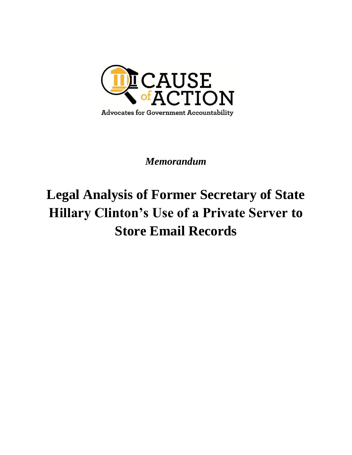

# *Memorandum*

# **Legal Analysis of Former Secretary of State Hillary Clinton's Use of a Private Server to Store Email Records**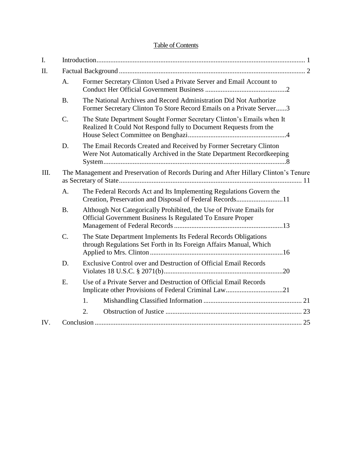# Table of Contents

| I.   |                                                                                      |                                                                                                                                             |
|------|--------------------------------------------------------------------------------------|---------------------------------------------------------------------------------------------------------------------------------------------|
| II.  |                                                                                      |                                                                                                                                             |
|      | A.                                                                                   | Former Secretary Clinton Used a Private Server and Email Account to                                                                         |
|      | <b>B.</b>                                                                            | The National Archives and Record Administration Did Not Authorize<br>Former Secretary Clinton To Store Record Emails on a Private Server3   |
|      | $\mathcal{C}$ .                                                                      | The State Department Sought Former Secretary Clinton's Emails when It<br>Realized It Could Not Respond fully to Document Requests from the  |
|      | D.                                                                                   | The Email Records Created and Received by Former Secretary Clinton<br>Were Not Automatically Archived in the State Department Recordkeeping |
| III. | The Management and Preservation of Records During and After Hillary Clinton's Tenure |                                                                                                                                             |
|      | A.                                                                                   | The Federal Records Act and Its Implementing Regulations Govern the<br>Creation, Preservation and Disposal of Federal Records11             |
|      | <b>B.</b>                                                                            | Although Not Categorically Prohibited, the Use of Private Emails for<br>Official Government Business Is Regulated To Ensure Proper          |
|      | $C$ .                                                                                | The State Department Implements Its Federal Records Obligations<br>through Regulations Set Forth in Its Foreign Affairs Manual, Which       |
|      | D.                                                                                   | Exclusive Control over and Destruction of Official Email Records                                                                            |
|      | Ε.                                                                                   | Use of a Private Server and Destruction of Official Email Records<br>Implicate other Provisions of Federal Criminal Law21                   |
|      |                                                                                      | 1.                                                                                                                                          |
|      |                                                                                      | 2.                                                                                                                                          |
| IV.  |                                                                                      |                                                                                                                                             |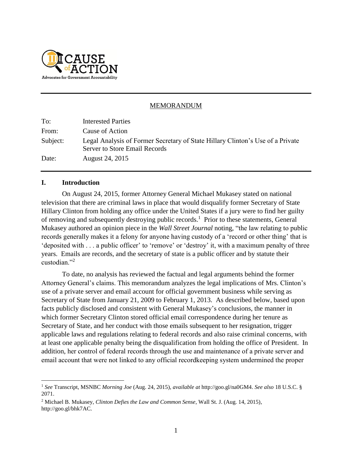

#### MEMORANDUM

To: Interested Parties From: Cause of Action Subject: Legal Analysis of Former Secretary of State Hillary Clinton's Use of a Private Server to Store Email Records Date: August 24, 2015

#### **I. Introduction**

 $\overline{a}$ 

On August 24, 2015, former Attorney General Michael Mukasey stated on national television that there are criminal laws in place that would disqualify former Secretary of State Hillary Clinton from holding any office under the United States if a jury were to find her guilty of removing and subsequently destroying public records.<sup>1</sup> Prior to these statements, General Mukasey authored an opinion piece in the *Wall Street Journal* noting, "the law relating to public records generally makes it a felony for anyone having custody of a 'record or other thing' that is 'deposited with . . . a public officer' to 'remove' or 'destroy' it, with a maximum penalty of three years. Emails are records, and the secretary of state is a public officer and by statute their custodian."<sup>2</sup>

To date, no analysis has reviewed the factual and legal arguments behind the former Attorney General's claims. This memorandum analyzes the legal implications of Mrs. Clinton's use of a private server and email account for official government business while serving as Secretary of State from January 21, 2009 to February 1, 2013. As described below, based upon facts publicly disclosed and consistent with General Mukasey's conclusions, the manner in which former Secretary Clinton stored official email correspondence during her tenure as Secretary of State, and her conduct with those emails subsequent to her resignation, trigger applicable laws and regulations relating to federal records and also raise criminal concerns, with at least one applicable penalty being the disqualification from holding the office of President. In addition, her control of federal records through the use and maintenance of a private server and email account that were not linked to any official recordkeeping system undermined the proper

<sup>1</sup> *See* Transcript, MSNBC *Morning Joe* (Aug. 24, 2015), *available at* http://goo.gl/na0GM4. *See also* 18 U.S.C. § 2071.

<sup>2</sup> Michael B. Mukasey, *Clinton Defies the Law and Common Sense*, Wall St. J. (Aug. 14, 2015), http://goo.gl/bhk7AC.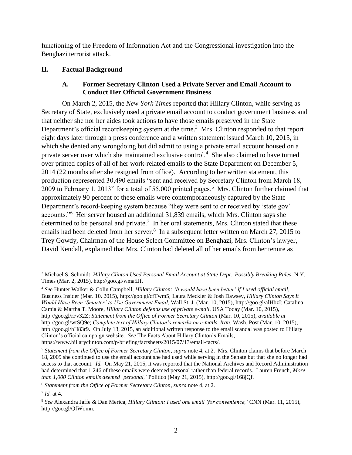functioning of the Freedom of Information Act and the Congressional investigation into the Benghazi terrorist attack.

# **II. Factual Background**

### <span id="page-3-0"></span>**A. Former Secretary Clinton Used a Private Server and Email Account to Conduct Her Official Government Business**

On March 2, 2015, the *New York Times* reported that Hillary Clinton, while serving as Secretary of State, exclusively used a private email account to conduct government business and that neither she nor her aides took actions to have those emails preserved in the State Department's official recordkeeping system at the time.<sup>3</sup> Mrs. Clinton responded to that report eight days later through a press conference and a written statement issued March 10, 2015, in which she denied any wrongdoing but did admit to using a private email account housed on a private server over which she maintained exclusive control.<sup>4</sup> She also claimed to have turned over printed copies of all of her work-related emails to the State Department on December 5, 2014 (22 months after she resigned from office). According to her written statement, this production represented 30,490 emails "sent and received by Secretary Clinton from March 18, 2009 to February 1, 2013" for a total of 55,000 printed pages.<sup>5</sup> Mrs. Clinton further claimed that approximately 90 percent of these emails were contemporaneously captured by the State Department's record-keeping system because "they were sent to or received by 'state.gov' accounts."<sup>6</sup> Her server housed an additional 31,839 emails, which Mrs. Clinton says she determined to be personal and private.<sup>7</sup> In her oral statements, Mrs. Clinton stated that these emails had been deleted from her server.<sup>8</sup> In a subsequent letter written on March 27, 2015 to Trey Gowdy, Chairman of the House Select Committee on Benghazi, Mrs. Clinton's lawyer, David Kendall, explained that Mrs. Clinton had deleted all of her emails from her tenure as

<sup>4</sup> *See* Hunter Walker & Colin Campbell, *Hillary Clinton: 'It would have been better' if I used official email*, Business Insider (Mar. 10. 2015), http://goo.gl/cfTwm5; Laura Meckler & Josh Dawsey, *Hillary Clinton Says It Would Have Been 'Smarter' to Use Government Email*, Wall St. J. (Mar. 10, 2015), http://goo.gl/alHbzI; Catalina Camia & Martha T. Moore, *Hillary Clinton defends use of private e-mail*, USA Today (Mar. 10, 2015), http://goo.gl/rFv32Z; *Statement from the Office of Former Secretary Clinton* (Mar. 10, 2015), *available at*  http://goo.gl/wtSQ9e; *Complete text of Hillary Clinton's remarks on e-mails, Iran*, Wash. Post (Mar. 10, 2015), http://goo.gl/hH83r9. On July 13, 2015, an additional written response to the email scandal was posted to Hillary Clinton's official campaign website. *See* The Facts About Hillary Clinton's Emails,

https://www.hillaryclinton.com/p/briefing/factsheets/2015/07/13/email-facts/.

<span id="page-3-1"></span> $\overline{a}$ <sup>3</sup> Michael S. Schmidt, *Hillary Clinton Used Personal Email Account at State Dept., Possibly Breaking Rules, N.Y.* Times (Mar. 2, 2015), http://goo.gl/wma5Jf.

<sup>5</sup> *Statement from the Office of Former Secretary Clinton*, *supra* note [4,](#page-3-0) at 2. Mrs. Clinton claims that before March 18, 2009 she continued to use the email account she had used while serving in the Senate but that she no longer had access to that account. *Id.* On May 21, 2015, it was reported that the National Archives and Record Administration had determined that 1,246 of these emails were deemed personal rather than federal records. Lauren French, *More than 1,000 Clinton emails deemed 'personal,'* Politico (May 21, 2015), http://goo.gl/168jQf.

<sup>6</sup> *Statement from the Office of Former Secretary Clinton*, *supra* note [4,](#page-3-0) at 2.

<sup>7</sup> *Id.* at 4.

<sup>8</sup> *See* Alexandra Jaffe & Dan Merica, *Hillary Clinton: I used one email 'for convenience,'* CNN (Mar. 11, 2015), http://goo.gl/QfWomn.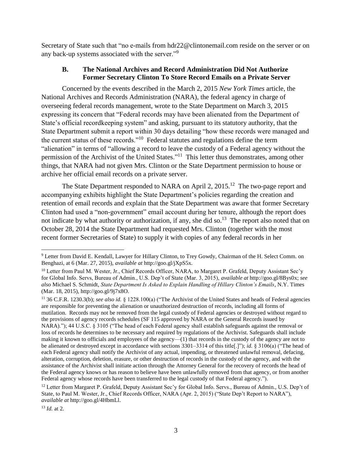Secretary of State such that "no e-mails from hdr22@clintonemail.com reside on the server or on any back-up systems associated with the server."<sup>9</sup>

### <span id="page-4-1"></span>**B. The National Archives and Record Administration Did Not Authorize Former Secretary Clinton To Store Record Emails on a Private Server**

Concerned by the events described in the March 2, 2015 *New York Times* article, the National Archives and Records Administration (NARA), the federal agency in charge of overseeing federal records management, wrote to the State Department on March 3, 2015 expressing its concern that "Federal records may have been alienated from the Department of State's official recordkeeping system" and asking, pursuant to its statutory authority, that the State Department submit a report within 30 days detailing "how these records were managed and the current status of these records."<sup>10</sup> Federal statutes and regulations define the term "alienation" in terms of "allowing a record to leave the custody of a Federal agency without the permission of the Archivist of the United States."<sup>11</sup> This letter thus demonstrates, among other things, that NARA had not given Mrs. Clinton or the State Department permission to house or archive her official email records on a private server.

<span id="page-4-0"></span>The State Department responded to NARA on April 2, 2015.<sup>12</sup> The two-page report and accompanying exhibits highlight the State Department's policies regarding the creation and retention of email records and explain that the State Department was aware that former Secretary Clinton had used a "non-government" email account during her tenure, although the report does not indicate by what authority or authorization, if any, she did so.<sup>13</sup> The report also noted that on October 28, 2014 the State Department had requested Mrs. Clinton (together with the most recent former Secretaries of State) to supply it with copies of any federal records in her

<sup>13</sup> *Id.* at 2.

<sup>9</sup> Letter from David E. Kendall, Lawyer for Hillary Clinton, to Trey Gowdy, Chairman of the H. Select Comm. on Benghazi, at 6 (Mar. 27, 2015), *available at* http://goo.gl/jXpS5x.

<sup>&</sup>lt;sup>10</sup> Letter from Paul M. Wester, Jr., Chief Records Officer, NARA, to Margaret P. Grafeld, Deputy Assistant Sec'y for Global Info. Servs, Bureau of Admin., U.S. Dep't of State (Mar. 3, 2015), *available at* http://goo.gl/8Bys0x; *see also* Michael S. Schmidt, *State Department Is Asked to Explain Handling of Hillary Clinton's Emails*, N.Y. Times (Mar. 18, 2015), http://goo.gl/9j7x8O.

<sup>11</sup> 36 C.F.R. 1230.3(b); *see also id.* § 1228.100(a) ("The Archivist of the United States and heads of Federal agencies are responsible for preventing the alienation or unauthorized destruction of records, including all forms of mutilation. Records may not be removed from the legal custody of Federal agencies or destroyed without regard to the provisions of agency records schedules (SF 115 approved by NARA or the General Records issued by NARA)."); 44 U.S.C. § 3105 ("The head of each Federal agency shall establish safeguards against the removal or loss of records he determines to be necessary and required by regulations of the Archivist. Safeguards shall include making it known to officials and employees of the agency—(1) that records in the custody of the agency are not to be alienated or destroyed except in accordance with sections 3301–3314 of this title[.]"); *id.* § 3106(a) ("The head of each Federal agency shall notify the Archivist of any actual, impending, or threatened unlawful removal, defacing, alteration, corruption, deletion, erasure, or other destruction of records in the custody of the agency, and with the assistance of the Archivist shall initiate action through the Attorney General for the recovery of records the head of the Federal agency knows or has reason to believe have been unlawfully removed from that agency, or from another Federal agency whose records have been transferred to the legal custody of that Federal agency.").

<sup>&</sup>lt;sup>12</sup> Letter from Margaret P. Grafeld, Deputy Assistant Sec'y for Global Info. Servs., Bureau of Admin., U.S. Dep't of State, to Paul M. Wester, Jr., Chief Records Officer, NARA (Apr. 2, 2015) ("State Dep't Report to NARA"), *available at* http://goo.gl/4HbmLl.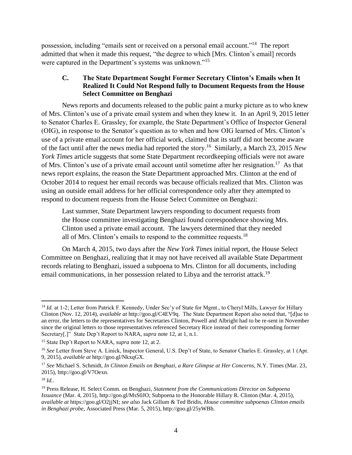possession, including "emails sent or received on a personal email account."<sup>14</sup> The report admitted that when it made this request, "the degree to which [Mrs. Clinton's email] records were captured in the Department's systems was unknown."<sup>15</sup>

### **C. The State Department Sought Former Secretary Clinton's Emails when It Realized It Could Not Respond fully to Document Requests from the House Select Committee on Benghazi**

News reports and documents released to the public paint a murky picture as to who knew of Mrs. Clinton's use of a private email system and when they knew it. In an April 9, 2015 letter to Senator Charles E. Grassley, for example, the State Department's Office of Inspector General (OIG), in response to the Senator's question as to when and how OIG learned of Mrs. Clinton's use of a private email account for her official work, claimed that its staff did not become aware of the fact until after the news media had reported the story.<sup>16</sup> Similarly, a March 23, 2015 *New York Times* article suggests that some State Department recordkeeping officials were not aware of Mrs. Clinton's use of a private email account until sometime after her resignation.<sup>17</sup> As that news report explains, the reason the State Department approached Mrs. Clinton at the end of October 2014 to request her email records was because officials realized that Mrs. Clinton was using an outside email address for her official correspondence only after they attempted to respond to document requests from the House Select Committee on Benghazi:

<span id="page-5-0"></span>Last summer, State Department lawyers responding to document requests from the House committee investigating Benghazi found correspondence showing Mrs. Clinton used a private email account. The lawyers determined that they needed all of Mrs. Clinton's emails to respond to the committee requests.<sup>18</sup>

On March 4, 2015, two days after the *New York Times* initial report, the House Select Committee on Benghazi, realizing that it may not have received all available State Department records relating to Benghazi, issued a subpoena to Mrs. Clinton for all documents, including email communications, in her possession related to Libya and the terrorist attack.<sup>19</sup>

<sup>&</sup>lt;sup>14</sup> *Id.* at 1-2; Letter from Patrick F. Kennedy, Under Sec'y of State for Mgmt., to Cheryl Mills, Lawyer for Hillary Clinton (Nov. 12, 2014), *available at* http://goo.gl/C4EV9q. The State Department Report also noted that, "[d]ue to an error, the letters to the representatives for Secretaries Clinton, Powell and Albright had to be re-sent in November since the original letters to those representatives referenced Secretary Rice instead of their corresponding former Secretary[.]" State Dep't Report to NARA*, supra* note [12,](#page-4-0) at 1, n.1.

<sup>15</sup> State Dep't Report to NARA*, supra* note [12,](#page-4-0) at 2.

<sup>&</sup>lt;sup>16</sup> See Letter from Steve A. Linick, Inspector General, U.S. Dep't of State, to Senator Charles E. Grassley, at 1 (Apr. 9, 2015), *available at* http://goo.gl/NkxqGX.

<sup>17</sup> *See* Michael S. Schmidt, *In Clinton Emails on Benghazi, a Rare Glimpse at Her Concerns*, N.Y. Times (Mar. 23, 2015), http://goo.gl/V7Oexn.

<sup>18</sup> *Id.*.

<sup>19</sup> Press Release, H. Select Comm. on Benghazi, *Statement from the Communications Director on Subpoena Issuance* (Mar. 4, 2015), http://goo.gl/MsS0JO; Subpoena to the Honorable Hillary R. Clinton (Mar. 4, 2015), *available at* https://goo.gl/O2jjNI; *see also* Jack Gillum & Ted Bridis, *House committee subpoenas Clinton emails in Benghazi probe*, Associated Press (Mar. 5, 2015), http://goo.gl/25yWBb.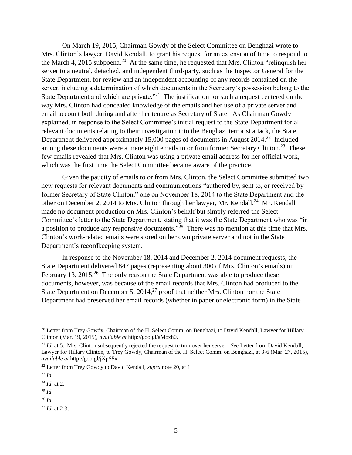<span id="page-6-0"></span>On March 19, 2015, Chairman Gowdy of the Select Committee on Benghazi wrote to Mrs. Clinton's lawyer, David Kendall, to grant his request for an extension of time to respond to the March 4, 2015 subpoena.<sup>20</sup> At the same time, he requested that Mrs. Clinton "relinquish her server to a neutral, detached, and independent third-party, such as the Inspector General for the State Department, for review and an independent accounting of any records contained on the server, including a determination of which documents in the Secretary's possession belong to the State Department and which are private.<sup>221</sup> The justification for such a request centered on the way Mrs. Clinton had concealed knowledge of the emails and her use of a private server and email account both during and after her tenure as Secretary of State. As Chairman Gowdy explained, in response to the Select Committee's initial request to the State Department for all relevant documents relating to their investigation into the Benghazi terrorist attack, the State Department delivered approximately 15,000 pages of documents in August  $2014.<sup>22</sup>$  Included among these documents were a mere eight emails to or from former Secretary Clinton.<sup>23</sup> These few emails revealed that Mrs. Clinton was using a private email address for her official work, which was the first time the Select Committee became aware of the practice.

Given the paucity of emails to or from Mrs. Clinton, the Select Committee submitted two new requests for relevant documents and communications "authored by, sent to, or received by former Secretary of State Clinton," one on November 18, 2014 to the State Department and the other on December 2, 2014 to Mrs. Clinton through her lawyer, Mr. Kendall.<sup>24</sup> Mr. Kendall made no document production on Mrs. Clinton's behalf but simply referred the Select Committee's letter to the State Department, stating that it was the State Department who was "in a position to produce any responsive documents."<sup>25</sup> There was no mention at this time that Mrs. Clinton's work-related emails were stored on her own private server and not in the State Department's recordkeeping system.

<span id="page-6-1"></span>In response to the November 18, 2014 and December 2, 2014 document requests, the State Department delivered 847 pages (representing about 300 of Mrs. Clinton's emails) on February 13, 2015.<sup>26</sup> The only reason the State Department was able to produce these documents, however, was because of the email records that Mrs. Clinton had produced to the State Department on December 5,  $2014<sup>27</sup>$  proof that neither Mrs. Clinton nor the State Department had preserved her email records (whether in paper or electronic form) in the State

 $\overline{a}$ 

<sup>25</sup> *Id.*

<sup>27</sup> *Id.* at 2-3.

<sup>&</sup>lt;sup>20</sup> Letter from Trey Gowdy, Chairman of the H. Select Comm. on Benghazi, to David Kendall, Lawyer for Hillary Clinton (Mar. 19, 2015), *available at* http://goo.gl/aMozh0.

<sup>21</sup> *Id.* at 5. Mrs. Clinton subsequently rejected the request to turn over her server. *See* Letter from David Kendall, Lawyer for Hillary Clinton, to Trey Gowdy, Chairman of the H. Select Comm. on Benghazi, at 3-6 (Mar. 27, 2015), *available at* http://goo.gl/jXpS5x*.*

<sup>22</sup> Letter from Trey Gowdy to David Kendall, *supra* note [20,](#page-6-0) at 1.

<sup>23</sup> *Id.*

<sup>24</sup> *Id.* at 2.

<sup>26</sup> *Id.*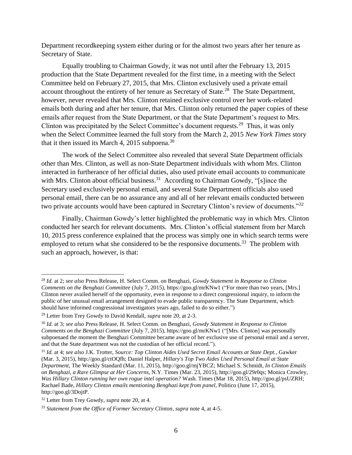Department recordkeeping system either during or for the almost two years after her tenure as Secretary of State.

Equally troubling to Chairman Gowdy, it was not until after the February 13, 2015 production that the State Department revealed for the first time, in a meeting with the Select Committee held on February 27, 2015, that Mrs. Clinton exclusively used a private email account throughout the entirety of her tenure as Secretary of State.<sup>28</sup> The State Department, however, never revealed that Mrs. Clinton retained exclusive control over her work-related emails both during and after her tenure, that Mrs. Clinton only returned the paper copies of these emails after request from the State Department, or that the State Department's request to Mrs. Clinton was precipitated by the Select Committee's document requests.<sup>29</sup> Thus, it was only when the Select Committee learned the full story from the March 2, 2015 *New York Times* story that it then issued its March 4, 2015 subpoena. $30$ 

The work of the Select Committee also revealed that several State Department officials other than Mrs. Clinton, as well as non-State Department individuals with whom Mrs. Clinton interacted in furtherance of her official duties, also used private email accounts to communicate with Mrs. Clinton about official business.<sup>31</sup> According to Chairman Gowdy, "[s]ince the Secretary used exclusively personal email, and several State Department officials also used personal email, there can be no assurance any and all of her relevant emails conducted between two private accounts would have been captured in Secretary Clinton's review of documents."<sup>32</sup>

Finally, Chairman Gowdy's letter highlighted the problematic way in which Mrs. Clinton conducted her search for relevant documents. Mrs. Clinton's official statement from her March 10, 2015 press conference explained that the process was simply one in which search terms were employed to return what she considered to be the responsive documents.<sup>33</sup> The problem with such an approach, however, is that:

<sup>28</sup> *Id.* at 2; *see also* Press Release, H. Select Comm. on Benghazi, *Gowdy Statement in Response to Clinton Comments on the Benghazi Committee* (July 7, 2015), https://goo.gl/mrKNw1 ("For more than two years, [Mrs.] Clinton never availed herself of the opportunity, even in response to a direct congressional inquiry, to inform the public of her unusual email arrangement designed to evade public transparency. The State Department, which should have informed congressional investigators years ago, failed to do so either.")

<sup>29</sup> Letter from Trey Gowdy to David Kendall, *supra* note [20,](#page-6-0) at 2-3.

<sup>30</sup> *Id.* at 3; *see also* Press Release, H. Select Comm. on Benghazi, *Gowdy Statement in Response to Clinton Comments on the Benghazi Committee* (July 7, 2015), https://goo.gl/mrKNw1 ("[Mrs. Clinton] was personally subpoenaed the moment the Benghazi Committee became aware of her exclusive use of personal email and a server, and that the State department was not the custodian of her official record.").

<sup>31</sup> *Id.* at 4; *see also* J.K. Trotter, *Source: Top Clinton Aides Used Secret Email Accounts at State Dept.*, Gawker (Mar. 3, 2015), http://goo.gl/ctOQfh; Daniel Halper, *Hillary's Top Two Aides Used Personal Email at State Department*, The Weekly Standard (Mar. 11, 2015), http://goo.gl/mjYBCZ; Michael S. Schmidt, *In Clinton Emails on Benghazi, a Rare Glimpse at Her Concerns*, N.Y. Times (Mar. 23, 2015), http://goo.gl/29r0qs; Monica Crowley, *Was Hillary Clinton running her own rogue intel operation?* Wash. Times (Mar 18, 2015), http://goo.gl/psUZRH; Rachael Bade, *Hillary Clinton emails mentioning Benghazi kept from panel*, Politico (June 17, 2015), http://goo.gl/3DojtP.

<sup>32</sup> Letter from Trey Gowdy, *supra* note [20,](#page-6-0) at 4.

<sup>33</sup> *Statement from the Office of Former Secretary Clinton*, *supra* note [4,](#page-3-0) at 4-5.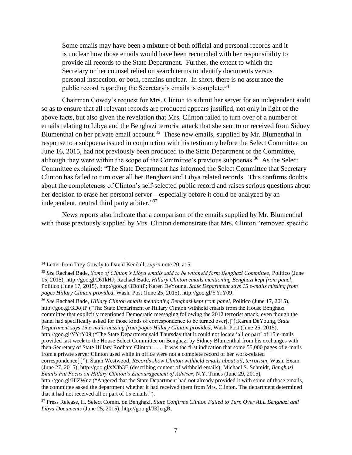Some emails may have been a mixture of both official and personal records and it is unclear how those emails would have been reconciled with her responsibility to provide all records to the State Department. Further, the extent to which the Secretary or her counsel relied on search terms to identify documents versus personal inspection, or both, remains unclear. In short, there is no assurance the public record regarding the Secretary's emails is complete.<sup>34</sup>

Chairman Gowdy's request for Mrs. Clinton to submit her server for an independent audit so as to ensure that all relevant records are produced appears justified, not only in light of the above facts, but also given the revelation that Mrs. Clinton failed to turn over of a number of emails relating to Libya and the Benghazi terrorist attack that she sent to or received from Sidney Blumenthal on her private email account.<sup>35</sup> These new emails, supplied by Mr. Blumenthal in response to a subpoena issued in conjunction with his testimony before the Select Committee on June 16, 2015, had not previously been produced to the State Department or the Committee, although they were within the scope of the Committee's previous subpoenas.<sup>36</sup> As the Select Committee explained: "The State Department has informed the Select Committee that Secretary Clinton has failed to turn over all her Benghazi and Libya related records. This confirms doubts about the completeness of Clinton's self-selected public record and raises serious questions about her decision to erase her personal server—especially before it could be analyzed by an independent, neutral third party arbiter."<sup>37</sup>

News reports also indicate that a comparison of the emails supplied by Mr. Blumenthal with those previously supplied by Mrs. Clinton demonstrate that Mrs. Clinton "removed specific

 $\overline{a}$ 

<sup>36</sup> *See* Rachael Bade, *Hillary Clinton emails mentioning Benghazi kept from panel*, Politico (June 17, 2015), http://goo.gl/3DojtP ("The State Department or Hillary Clinton withheld emails from the House Benghazi committee that explicitly mentioned Democratic messaging following the 2012 terrorist attack, even though the panel had specifically asked for those kinds of correspondence to be turned over[.]");Karen DeYoung, *State Department says 15 e-mails missing from pages Hillary Clinton provided*, Wash. Post (June 25, 2015), http://goo.gl/YYrY09 ("The State Department said Thursday that it could not locate 'all or part' of 15 e-mails provided last week to the House Select Committee on Benghazi by Sidney Blumenthal from his exchanges with then-Secretary of State Hillary Rodham Clinton. . . . It was the first indication that some 55,000 pages of e-mails from a private server Clinton used while in office were not a complete record of her work-related

<sup>34</sup> Letter from Trey Gowdy to David Kendall, *supra* note [20,](#page-6-0) at 5.

<sup>35</sup> *See* Rachael Bade, *Some of Clinton's Libya emails said to be withheld form Benghazi Committee*, Politico (June 15, 2015), http://goo.gl/261kHJ; Rachael Bade, *Hillary Clinton emails mentioning Benghazi kept from panel*, Politico (June 17, 2015), http://goo.gl/3DojtP; Karen DeYoung, *State Department says 15 e-mails missing from pages Hillary Clinton provided*, Wash. Post (June 25, 2015), http://goo.gl/YYrY09.

correspondence[.]"); Sarah Westwood, *Records show Clinton withheld emails about oil, terrorism*, Wash. Exam. (June 27, 2015), http://goo.gl/sX3b3E (describing content of withheld emails); Michael S. Schmidt, *Benghazi Emails Put Focus on Hillary Clinton's Encouragement of Adviser*, N.Y. Times (June 29, 2015),

http://goo.gl/HlZWnz ("Angered that the State Department had not already provided it with some of those emails, the committee asked the department whether it had received them from Mrs. Clinton. The department determined that it had not received all or part of 15 emails.").

<sup>37</sup> Press Release, H. Select Comm. on Benghazi, *State Confirms Clinton Failed to Turn Over ALL Benghazi and Libya Documents* (June 25, 2015), http://goo.gl/JKhxgR.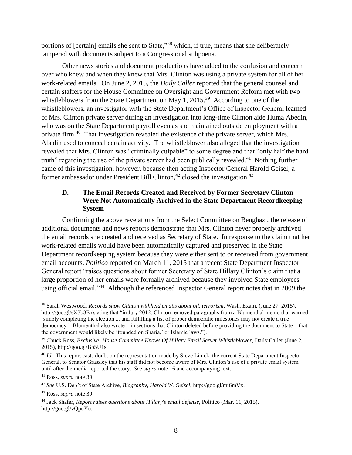portions of [certain] emails she sent to State,"<sup>38</sup> which, if true, means that she deliberately tampered with documents subject to a Congressional subpoena.

<span id="page-9-0"></span>Other news stories and document productions have added to the confusion and concern over who knew and when they knew that Mrs. Clinton was using a private system for all of her work-related emails. On June 2, 2015, the *Daily Caller* reported that the general counsel and certain staffers for the House Committee on Oversight and Government Reform met with two whistleblowers from the State Department on May 1, 2015.<sup>39</sup> According to one of the whistleblowers, an investigator with the State Department's Office of Inspector General learned of Mrs. Clinton private server during an investigation into long-time Clinton aide Huma Abedin, who was on the State Department payroll even as she maintained outside employment with a private firm.<sup>40</sup> That investigation revealed the existence of the private server, which Mrs. Abedin used to conceal certain activity. The whistleblower also alleged that the investigation revealed that Mrs. Clinton was "criminally culpable" to some degree and that "only half the hard truth" regarding the use of the private server had been publically revealed. $41$  Nothing further came of this investigation, however, because then acting Inspector General Harold Geisel, a former ambassador under President Bill Clinton,<sup>42</sup> closed the investigation.<sup>43</sup>

# **D. The Email Records Created and Received by Former Secretary Clinton Were Not Automatically Archived in the State Department Recordkeeping System**

Confirming the above revelations from the Select Committee on Benghazi, the release of additional documents and news reports demonstrate that Mrs. Clinton never properly archived the email records she created and received as Secretary of State. In response to the claim that her work-related emails would have been automatically captured and preserved in the State Department recordkeeping system because they were either sent to or received from government email accounts, *Politico* reported on March 11, 2015 that a recent State Department Inspector General report "raises questions about former Secretary of State Hillary Clinton's claim that a large proportion of her emails were formally archived because they involved State employees using official email."<sup>44</sup> Although the referenced Inspector General report notes that in 2009 the

 $\overline{a}$ 

<sup>43</sup> Ross*, supra* note [39.](#page-9-0)

<sup>38</sup> Sarah Westwood, *Records show Clinton withheld emails about oil, terrorism*, Wash. Exam. (June 27, 2015), http://goo.gl/sX3b3E (stating that "in July 2012, Clinton removed paragraphs from a Blumenthal memo that warned 'simply completing the election ... and fulfilling a list of proper democratic milestones may not create a true democracy.' Blumenthal also wrote—in sections that Clinton deleted before providing the document to State—that the government would likely be 'founded on Sharia,' or Islamic laws.").

<sup>39</sup> Chuck Ross, *Exclusive: House Committee Knows Of Hillary Email Server Whistleblower*, Daily Caller (June 2, 2015), http://goo.gl/Bp5U1s.

<sup>&</sup>lt;sup>40</sup> *Id.* This report casts doubt on the representation made by Steve Linick, the current State Department Inspector General, to Senator Grassley that his staff did not become aware of Mrs. Clinton's use of a private email system until after the media reported the story. *See supra* not[e 16](#page-5-0) and accompanying text.

<sup>41</sup> Ross*, supra* note [39.](#page-9-0)

<sup>42</sup> *See* U.S. Dep't of State Archive, *Biography, Harold W. Geisel*, http://goo.gl/mj6mVx.

<sup>44</sup> Jack Shafer, *Report raises questions about Hillary's email defense*, Politico (Mar. 11, 2015), http://goo.gl/vQpuYu.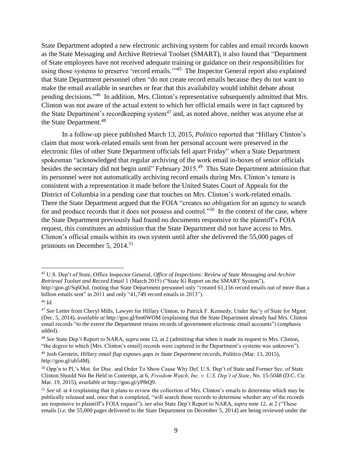<span id="page-10-0"></span>State Department adopted a new electronic archiving system for cables and email records known as the State Messaging and Archive Retrieval Toolset (SMART), it also found that "Department of State employees have not received adequate training or guidance on their responsibilities for using those systems to preserve 'record emails.'"<sup>45</sup> The Inspector General report also explained that State Department personnel often "do not create record emails because they do not want to make the email available in searches or fear that this availability would inhibit debate about pending decisions."<sup>46</sup> In addition, Mrs. Clinton's representative subsequently admitted that Mrs. Clinton was not aware of the actual extent to which her official emails were in fact captured by the State Department's recordkeeping system<sup>47</sup> and, as noted above, neither was anyone else at the State Department.<sup>48</sup>

<span id="page-10-2"></span>In a follow-up piece published March 13, 2015, *Politico* reported that "Hillary Clinton's claim that most work-related emails sent from her personal account were preserved in the electronic files of other State Department officials fell apart Friday" when a State Department spokesman "acknowledged that regular archiving of the work email in-boxes of senior officials besides the secretary did not begin until" February 2015.<sup>49</sup> This State Department admission that its personnel were not automatically archiving record emails during Mrs. Clinton's tenure is consistent with a representation it made before the United States Court of Appeals for the District of Columbia in a pending case that touches on Mrs. Clinton's work-related emails. There the State Department argued that the FOIA "creates no obligation for an agency to search for and produce records that it does not possess and control."<sup>50</sup> In the context of the case, where the State Department previously had found no documents responsive to the plaintiff's FOIA request, this constitutes an admission that the State Department did not have access to Mrs. Clinton's official emails within its own system until after she delivered the 55,000 pages of printouts on December 5, 2014.<sup>51</sup>

<span id="page-10-1"></span><sup>45</sup> U.S. Dep't of State, Office Inspector General, *Office of Inspections: Review of State Messaging and Archive Retrieval Toolset and Record Email* 1 (March 2015) ("State IG Report on the SMART System"), http://goo.gl/Sq6OuL (noting that State Department personnel only "created 61,156 record emails out of more than a billion emails sent" in 2011 and only "41,749 record emails in 2013").

<sup>46</sup> *Id.*

<sup>47</sup> *See* Letter from Cheryl Mills, Lawyer for Hillary Clinton, to Patrick F. Kennedy, Under Sec'y of State for Mgmt. (Dec. 5, 2014), *available at* http://goo.gl/hm6WOM (explaining that the State Department already had Mrs. Clinton email records "*to the extent* the Department retains records of government electronic email accounts") (emphasis added).

<sup>48</sup> *See* State Dep't Report to NARA*, supra* note [12,](#page-4-0) at 2 (admitting that when it made its request to Mrs. Clinton, "the degree to which [Mrs. Clinton's email] records were captured in the Department's systems was unknown").

<sup>49</sup> Josh Gerstein, *Hillary email flap exposes gaps in State Department records*, Politico (Mar. 13, 2015), http://goo.gl/ub54Mj.

<sup>50</sup> Opp'n to Pl.'s Mot. for Disc. and Order To Show Cause Why Def. U.S. Dep't of State and Former Sec. of State Clinton Should Not Be Held in Contempt, at 6, *Freedom Watch, Inc. v. U.S. Dep't of State*, No. 15-5048 (D.C. Cir. Mar. 19, 2015), *available at* http://goo.gl/yP8tQ9.

<sup>&</sup>lt;sup>51</sup> *See id.* at 4 (explaining that it plans to review the collection of Mrs. Clinton's emails to determine which may be publically released and, once that is completed, "will search those records to determine whether any of the records are responsive to plaintiff's FOIA request"); *see also* State Dep't Report to NARA*, supra* not[e 12,](#page-4-0) at 2 ("These emails [*i.e.* the 55,000 pages delivered to the State Department on December 5, 2014] are being reviewed under the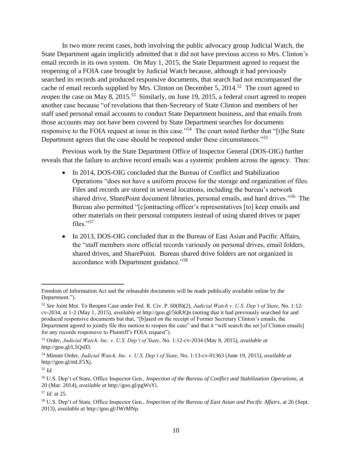In two more recent cases, both involving the public advocacy group Judicial Watch, the State Department again implicitly admitted that it did not have previous access to Mrs. Clinton's email records in its own system. On May 1, 2015, the State Department agreed to request the reopening of a FOIA case brought by Judicial Watch because, although it had previously searched its records and produced responsive documents, that search had not encompassed the cache of email records supplied by Mrs. Clinton on December 5, 2014.<sup>52</sup> The court agreed to reopen the case on May 8, 2015.<sup>53</sup> Similarly, on June 19, 2015, a federal court agreed to reopen another case because "of revelations that then-Secretary of State Clinton and members of her staff used personal email accounts to conduct State Department business, and that emails from those accounts may not have been covered by State Department searches for documents responsive to the FOIA request at issue in this case."<sup>54</sup> The court noted further that "[t]he State Department agrees that the case should be reopened under these circumstances."<sup>55</sup>

Previous work by the State Department Office of Inspector General (DOS-OIG) further reveals that the failure to archive record emails was a systemic problem across the agency. Thus:

- <span id="page-11-0"></span>• In 2014, DOS-OIG concluded that the Bureau of Conflict and Stabilization Operations "does not have a uniform process for the storage and organization of files. Files and records are stored in several locations, including the bureau's network shared drive, SharePoint document libraries, personal emails, and hard drives."<sup>56</sup> The Bureau also permitted "[c]ontracting officer's representatives [to] keep emails and other materials on their personal computers instead of using shared drives or paper files."57
- In 2013, DOS-OIG concluded that in the Bureau of East Asian and Pacific Affairs, the "staff members store official records variously on personal drives, email folders, shared drives, and SharePoint. Bureau shared drive folders are not organized in accordance with Department guidance."<sup>58</sup>

Freedom of Information Act and the releasable documents will be made publically available online by the Department.").

<sup>52</sup> *See* Joint Mot. To Reopen Case under Fed. R. Civ. P. 60(B)(2), *Judicial Watch v. U.S. Dep't of State*, No. 1:12 cv-2034, at 1-2 (May 1, 2015), *available at* http://goo.gl/5kRJQn (noting that it had previously searched for and produced responsive documents but that, "[b]ased on the receipt of Former Secretary Clinton's emails, the Department agreed to jointly file this motion to reopen the case" and that it "will search the set [of Clinton emails] for any records responsive to Plaintiff's FOIA request").

<sup>53</sup> Order, *Judicial Watch, Inc. v. U.S. Dep't of State*, No. 1:12-cv-2034 (May 8, 2015), *available at* http://goo.gl/L5QsID.

<sup>54</sup> Minute Order, *Judicial Watch, Inc. v. U.S. Dep't of State*, No. 1:13-cv-01363 (June 19, 2015), *available at*  http://goo.gl/mLF5Xj*.*

<sup>55</sup> *Id.*

<sup>56</sup> U.S. Dep't of State, Office Inspector Gen., *Inspection of the Bureau of Conflict and Stabilization Operations,* at 20 (Mar. 2014), *available at* http://goo.gl/pgWsYi.

<sup>57</sup> *Id.* at 25.

<sup>58</sup> U.S. Dep't of State, Office Inspector Gen., *Inspection of the Bureau of East Asian and Pacific Affairs*, at 26 (Sept. 2013), *available at* http://goo.gl/JWrMNp.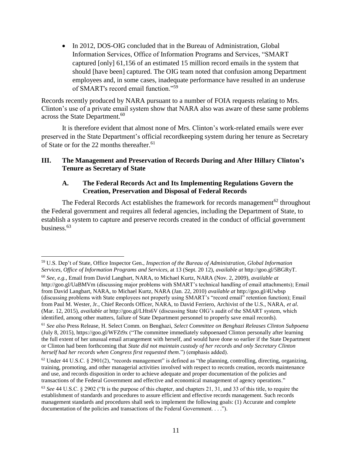• In 2012, DOS-OIG concluded that in the Bureau of Administration, Global Information Services, Office of Information Programs and Services, "SMART captured [only] 61,156 of an estimated 15 million record emails in the system that should [have been] captured. The OIG team noted that confusion among Department employees and, in some cases, inadequate performance have resulted in an underuse of SMART's record email function."<sup>59</sup>

Records recently produced by NARA pursuant to a number of FOIA requests relating to Mrs. Clinton's use of a private email system show that NARA also was aware of these same problems across the State Department.<sup>60</sup>

It is therefore evident that almost none of Mrs. Clinton's work-related emails were ever preserved in the State Department's official recordkeeping system during her tenure as Secretary of State or for the 22 months thereafter. 61

### **III. The Management and Preservation of Records During and After Hillary Clinton's Tenure as Secretary of State**

### <span id="page-12-0"></span>**A. The Federal Records Act and Its Implementing Regulations Govern the Creation, Preservation and Disposal of Federal Records**

The Federal Records Act establishes the framework for records management $62$  throughout the Federal government and requires all federal agencies, including the Department of State, to establish a system to capture and preserve records created in the conduct of official government business.<sup>63</sup>

<sup>59</sup> U.S. Dep't of State, Office Inspector Gen., *Inspection of the Bureau of Administration, Global Information Services, Office of Information Programs and Services*, at 13 (Sept. 20 12), *available at* http://goo.gl/5BGRyT.

<sup>60</sup> *See, e.g.*, Email from David Langbart, NARA, to Michael Kurtz, NARA (Nov. 2, 2009), *available at* http://goo.gl/UaBMVm (discussing major problems with SMART's technical handling of email attachments); Email from David Langbart, NARA, to Michael Kurtz, NARA (Jan. 22, 2010) *available at* http://goo.gl/4Uwbsp (discussing problems with State employees not properly using SMART's "record email" retention function); Email from Paul M. Wester, Jr., Chief Records Officer, NARA, to David Ferriero, Archivist of the U.S., NARA, *et al*. (Mar. 12, 2015), *available at* http://goo.gl/LHts6V (discussing State OIG's audit of the SMART system, which identified, among other matters, failure of State Department personnel to properly save email records).

<sup>61</sup> *See also* Press Release, H. Select Comm. on Benghazi, *Select Committee on Benghazi Releases Clinton Subpoena* (July 8, 2015), https://goo.gl/WFZt9x ("The committee immediately subpoenaed Clinton personally after learning the full extent of her unusual email arrangement with herself, and would have done so earlier if the State Department or Clinton had been forthcoming that *State did not maintain custody of her records and only Secretary Clinton herself had her records when Congress first requested them*.") (emphasis added).

 $62$  Under 44 U.S.C. § 2901(2), "records management" is defined as "the planning, controlling, directing, organizing, training, promoting, and other managerial activities involved with respect to records creation, records maintenance and use, and records disposition in order to achieve adequate and proper documentation of the policies and transactions of the Federal Government and effective and economical management of agency operations."

<sup>63</sup> *See* 44 U.S.C. § 2902 ("It is the purpose of this chapter, and chapters 21, 31, and 33 of this title, to require the establishment of standards and procedures to assure efficient and effective records management. Such records management standards and procedures shall seek to implement the following goals: (1) Accurate and complete documentation of the policies and transactions of the Federal Government. . . .").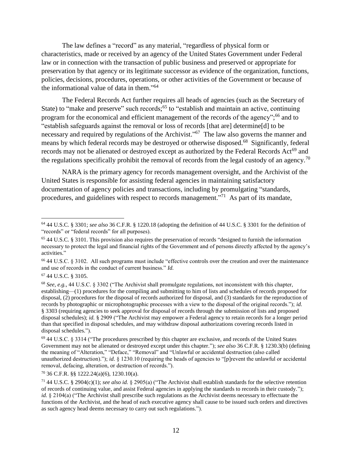The law defines a "record" as any material, "regardless of physical form or characteristics, made or received by an agency of the United States Government under Federal law or in connection with the transaction of public business and preserved or appropriate for preservation by that agency or its legitimate successor as evidence of the organization, functions, policies, decisions, procedures, operations, or other activities of the Government or because of the informational value of data in them." 64

The Federal Records Act further requires all heads of agencies (such as the Secretary of State) to "make and preserve" such records;<sup>65</sup> to "establish and maintain an active, continuing program for the economical and efficient management of the records of the agency";<sup>66</sup> and to "establish safeguards against the removal or loss of records [that are] determine[d] to be necessary and required by regulations of the Archivist."<sup>67</sup> The law also governs the manner and means by which federal records may be destroyed or otherwise disposed.<sup>68</sup> Significantly, federal records may not be alienated or destroyed except as authorized by the Federal Records Act<sup>69</sup> and the regulations specifically prohibit the removal of records from the legal custody of an agency.<sup>70</sup>

NARA is the primary agency for records management oversight, and the Archivist of the United States is responsible for assisting federal agencies in maintaining satisfactory documentation of agency policies and transactions, including by promulgating "standards, procedures, and guidelines with respect to records management."<sup>71</sup> As part of its mandate,

<sup>64</sup> 44 U.S.C. § 3301; *see also* 36 C.F.R. § 1220.18 (adopting the definition of 44 U.S.C. § 3301 for the definition of "records" or "federal records" for all purposes).

<sup>65</sup> 44 U.S.C. § 3101. This provision also requires the preservation of records "designed to furnish the information necessary to protect the legal and financial rights of the Government and of persons directly affected by the agency's activities."

<sup>66</sup> 44 U.S.C. § 3102. All such programs must include "effective controls over the creation and over the maintenance and use of records in the conduct of current business." *Id.*

<sup>67</sup> 44 U.S.C. § 3105.

<sup>68</sup> *See, e.g.,* 44 U.S.C. § 3302 ("The Archivist shall promulgate regulations, not inconsistent with this chapter, establishing—(1) procedures for the compiling and submitting to him of lists and schedules of records proposed for disposal, (2) procedures for the disposal of records authorized for disposal, and (3) standards for the reproduction of records by photographic or microphotographic processes with a view to the disposal of the original records."); *id.*  § 3303 (requiring agencies to seek approval for disposal of records through the submission of lists and proposed disposal schedules); *id.* § 2909 ("The Archivist may empower a Federal agency to retain records for a longer period than that specified in disposal schedules, and may withdraw disposal authorizations covering records listed in disposal schedules.").

<sup>69</sup> 44 U.S.C. § 3314 ("The procedures prescribed by this chapter are exclusive, and records of the United States Government may not be alienated or destroyed except under this chapter."); *see also* 36 C.F.R. § 1230.3(b) (defining the meaning of "Alteration," "Deface," "Removal" and "Unlawful or accidental destruction (also called unauthorized destruction)."); *id.* § 1230.10 (requiring the heads of agencies to "[p]revent the unlawful or accidental removal, defacing, alteration, or destruction of records.").

<sup>70</sup> 36 C.F.R. §§ 1222.24(a)(6), 1230.10(a).

<sup>71</sup> 44 U.S.C. § 2904(c)(1); *see also id.* § 2905(a) ("The Archivist shall establish standards for the selective retention of records of continuing value, and assist Federal agencies in applying the standards to records in their custody."); *id.* § 2104(a) ("The Archivist shall prescribe such regulations as the Archivist deems necessary to effectuate the functions of the Archivist, and the head of each executive agency shall cause to be issued such orders and directives as such agency head deems necessary to carry out such regulations.").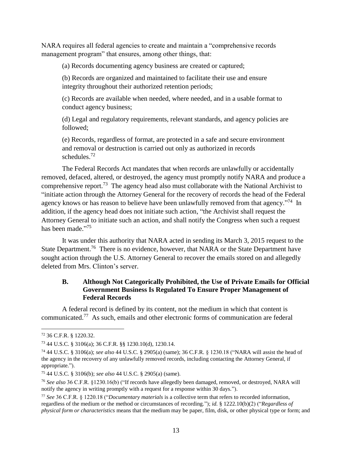NARA requires all federal agencies to create and maintain a "comprehensive records management program" that ensures, among other things, that:

(a) Records documenting agency business are created or captured;

(b) Records are organized and maintained to facilitate their use and ensure integrity throughout their authorized retention periods;

(c) Records are available when needed, where needed, and in a usable format to conduct agency business;

(d) Legal and regulatory requirements, relevant standards, and agency policies are followed;

(e) Records, regardless of format, are protected in a safe and secure environment and removal or destruction is carried out only as authorized in records schedules. 72

The Federal Records Act mandates that when records are unlawfully or accidentally removed, defaced, altered, or destroyed, the agency must promptly notify NARA and produce a comprehensive report.<sup>73</sup> The agency head also must collaborate with the National Archivist to "initiate action through the Attorney General for the recovery of records the head of the Federal agency knows or has reason to believe have been unlawfully removed from that agency."<sup>74</sup> In addition, if the agency head does not initiate such action, "the Archivist shall request the Attorney General to initiate such an action, and shall notify the Congress when such a request has been made."<sup>75</sup>

It was under this authority that NARA acted in sending its March 3, 2015 request to the State Department.<sup>76</sup> There is no evidence, however, that NARA or the State Department have sought action through the U.S. Attorney General to recover the emails stored on and allegedly deleted from Mrs. Clinton's server.

### **B. Although Not Categorically Prohibited, the Use of Private Emails for Official Government Business Is Regulated To Ensure Proper Management of Federal Records**

A federal record is defined by its content, not the medium in which that content is communicated.<sup>77</sup> As such, emails and other electronic forms of communication are federal

<sup>72</sup> 36 C.F.R. § 1220.32.

<sup>73</sup> 44 U.S.C. § 3106(a); 36 C.F.R. §§ 1230.10(d), 1230.14.

<sup>74</sup> 44 U.S.C. § 3106(a); *see also* 44 U.S.C. § 2905(a) (same); 36 C.F.R. § 1230.18 ("NARA will assist the head of the agency in the recovery of any unlawfully removed records, including contacting the Attorney General, if appropriate.").

<sup>75</sup> 44 U.S.C. § 3106(b); *see also* 44 U.S.C. § 2905(a) (same).

<sup>76</sup> *See also* 36 C.F.R. §1230.16(b) ("If records have allegedly been damaged, removed, or destroyed, NARA will notify the agency in writing promptly with a request for a response within 30 days.").

<sup>77</sup> *See* 36 C.F.R. § 1220.18 ("*Documentary materials* is a collective term that refers to recorded information, regardless of the medium or the method or circumstances of recording."); *id.* § 1222.10(b)(2) ("*Regardless of physical form or characteristics* means that the medium may be paper, film, disk, or other physical type or form; and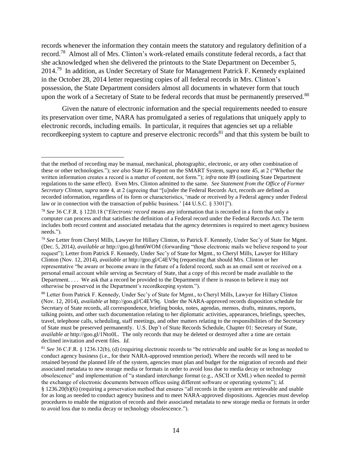records whenever the information they contain meets the statutory and regulatory definition of a record.<sup>78</sup> Almost all of Mrs. Clinton's work-related emails constitute federal records, a fact that she acknowledged when she delivered the printouts to the State Department on December 5, 2014.<sup>79</sup> In addition, as Under Secretary of State for Management Patrick F. Kennedy explained in the October 28, 2014 letter requesting copies of all federal records in Mrs. Clinton's possession, the State Department considers almost all documents in whatever form that touch upon the work of a Secretary of State to be federal records that must be permanently preserved.<sup>80</sup>

Given the nature of electronic information and the special requirements needed to ensure its preservation over time, NARA has promulgated a series of regulations that uniquely apply to electronic records, including emails. In particular, it requires that agencies set up a reliable recordkeeping system to capture and preserve electronic records<sup>81</sup> and that this system be built to

that the method of recording may be manual, mechanical, photographic, electronic, or any other combination of these or other technologies."); *see also* State IG Report on the SMART System, *supra* note [45,](#page-10-0) at 2 ("Whether the written information creates a record is a matter of content, not form."); *infra* note [89](#page-17-0) (outlining State Department regulations to the same effect). Even Mrs. Clinton admitted to the same. *See Statement from the Office of Former Secretary Clinton*, *supra* note [4,](#page-3-0) at 2 (agreeing that "[u]nder the Federal Records Act, records are defined as recorded information, regardless of its form or characteristics, 'made or received by a Federal agency under Federal law or in connection with the transaction of public business.' [44 U.S.C. § 3301]").

<sup>78</sup> *See* 36 C.F.R. § 1220.18 ("*Electronic record* means any information that is recorded in a form that only a computer can process and that satisfies the definition of a Federal record under the Federal Records Act. The term includes both record content and associated metadata that the agency determines is required to meet agency business needs.").

<sup>79</sup> *See* Letter from Cheryl Mills, Lawyer for Hillary Clinton, to Patrick F. Kennedy, Under Sec'y of State for Mgmt. (Dec. 5, 2014*), available at* http://goo.gl/hm6WOM (forwarding "those electronic mails we believe respond to your request"); Letter from Patrick F. Kennedy, Under Sec'y of State for Mgmt., to Cheryl Mills, Lawyer for Hillary Clinton (Nov. 12, 2014), *available at* http://goo.gl/C4EV9q (requesting that should Mrs. Clinton or her representative "be aware or become aware in the future of a federal record, such as an email sent or received on a personal email account while serving as Secretary of State, that a copy of this record be made available to the Department. . . . We ask that a record be provided to the Department if there is reason to believe it may not otherwise be preserved in the Department's recordkeeping system.").

<sup>80</sup> Letter from Patrick F. Kennedy, Under Sec'y of State for Mgmt., to Cheryl Mills, Lawyer for Hillary Clinton (Nov. 12, 2014), *available at* http://goo.gl/C4EV9q. Under the NARA-approved records disposition schedule for Secretary of State records, all correspondence, briefing books, notes, agendas, memos, drafts, minutes, reports, talking points, and other such documentation relating to her diplomatic activities, appearances, briefings, speeches, travel, telephone calls, scheduling, staff meetings, and other matters relating to the responsibilities of the Secretary of State must be preserved permanently. U.S. Dep't of State Records Schedule, Chapter 01: Secretary of State, *available at* http://goo.gl/1Nto0L. The only records that may be deleted or destroyed after a time are certain declined invitation and event files. *Id.*

<sup>81</sup> *See* 36 C.F.R. § 1236.12(b), (d) (requiring electronic records to "be retrievable and usable for as long as needed to conduct agency business (i.e., for their NARA-approved retention period). Where the records will need to be retained beyond the planned life of the system, agencies must plan and budget for the migration of records and their associated metadata to new storage media or formats in order to avoid loss due to media decay or technology obsolescence" and implementation of "a standard interchange format (e.g., ASCII or XML) when needed to permit the exchange of electronic documents between offices using different software or operating systems"); *id.* § 1236.20(b)(6) (requiring a preservation method that ensures "all records in the system are retrievable and usable for as long as needed to conduct agency business and to meet NARA-approved dispositions. Agencies must develop procedures to enable the migration of records and their associated metadata to new storage media or formats in order to avoid loss due to media decay or technology obsolescence.").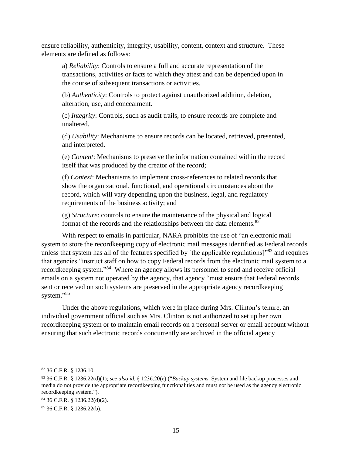ensure reliability, authenticity, integrity, usability, content, context and structure. These elements are defined as follows:

a) *Reliability*: Controls to ensure a full and accurate representation of the transactions, activities or facts to which they attest and can be depended upon in the course of subsequent transactions or activities.

(b) *Authenticity*: Controls to protect against unauthorized addition, deletion, alteration, use, and concealment.

(c) *Integrity*: Controls, such as audit trails, to ensure records are complete and unaltered.

(d) *Usability*: Mechanisms to ensure records can be located, retrieved, presented, and interpreted.

(e) *Content*: Mechanisms to preserve the information contained within the record itself that was produced by the creator of the record;

(f) *Context*: Mechanisms to implement cross-references to related records that show the organizational, functional, and operational circumstances about the record, which will vary depending upon the business, legal, and regulatory requirements of the business activity; and

(g) *Structure*: controls to ensure the maintenance of the physical and logical format of the records and the relationships between the data elements.<sup>82</sup>

With respect to emails in particular, NARA prohibits the use of "an electronic mail system to store the recordkeeping copy of electronic mail messages identified as Federal records unless that system has all of the features specified by [the applicable regulations]"<sup>83</sup> and requires that agencies "instruct staff on how to copy Federal records from the electronic mail system to a recordkeeping system."<sup>84</sup> Where an agency allows its personnel to send and receive official emails on a system not operated by the agency, that agency "must ensure that Federal records sent or received on such systems are preserved in the appropriate agency recordkeeping system."<sup>85</sup>

Under the above regulations, which were in place during Mrs. Clinton's tenure, an individual government official such as Mrs. Clinton is not authorized to set up her own recordkeeping system or to maintain email records on a personal server or email account without ensuring that such electronic records concurrently are archived in the official agency

<sup>82</sup> 36 C.F.R. § 1236.10.

<sup>83</sup> 36 C.F.R. § 1236.22(d)(1); *see also id.* § 1236.20(c) ("*Backup systems.* System and file backup processes and media do not provide the appropriate recordkeeping functionalities and must not be used as the agency electronic recordkeeping system.").

<sup>84</sup> 36 C.F.R. § 1236.22(d)(2).

<sup>85</sup> 36 C.F.R. § 1236.22(b).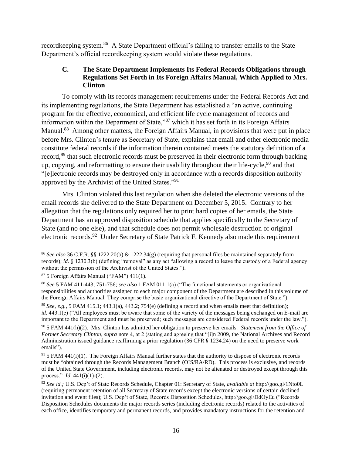recordkeeping system.<sup>86</sup> A State Department official's failing to transfer emails to the State Department's official recordkeeping system would violate these regulations.

# **C. The State Department Implements Its Federal Records Obligations through Regulations Set Forth in Its Foreign Affairs Manual, Which Applied to Mrs. Clinton**

To comply with its records management requirements under the Federal Records Act and its implementing regulations, the State Department has established a "an active, continuing program for the effective, economical, and efficient life cycle management of records and information within the Department of State,"<sup>87</sup> which it has set forth in its Foreign Affairs Manual.<sup>88</sup> Among other matters, the Foreign Affairs Manual, in provisions that were put in place before Mrs. Clinton's tenure as Secretary of State, explains that email and other electronic media constitute federal records if the information therein contained meets the statutory definition of a record,<sup>89</sup> that such electronic records must be preserved in their electronic form through backing up, copying, and reformatting to ensure their usability throughout their life-cycle,  $90$  and that "[e]lectronic records may be destroyed only in accordance with a records disposition authority approved by the Archivist of the United States."<sup>91</sup>

<span id="page-17-0"></span>Mrs. Clinton violated this last regulation when she deleted the electronic versions of the email records she delivered to the State Department on December 5, 2015. Contrary to her allegation that the regulations only required her to print hard copies of her emails, the State Department has an approved disposition schedule that applies specifically to the Secretary of State (and no one else), and that schedule does not permit wholesale destruction of original electronic records.<sup>92</sup> Under Secretary of State Patrick F. Kennedy also made this requirement

<sup>86</sup> *See also* 36 C.F.R. §§ 1222.20(b) & 1222.34(g) (requiring that personal files be maintained separately from records); *id.* § 1230.3(b) (defining "removal" as any act "allowing a record to leave the custody of a Federal agency without the permission of the Archivist of the United States.").

 $87$  5 Foreign Affairs Manual ("FAM") 411(1).

<sup>88</sup> *See* 5 FAM 411-443; 751-756; *see also* 1 FAM 011.1(a) ("The functional statements or organizational responsibilities and authorities assigned to each major component of the Department are described in this volume of the Foreign Affairs Manual. They comprise the basic organizational directive of the Department of State.").

 $89$  *See, e.g.,* 5 FAM 415.1; 443.1(a), 443.2; 754(e) (defining a record and when emails meet that definition); *id.* 443.1(c) ("All employees must be aware that some of the variety of the messages being exchanged on E-mail are important to the Department and must be preserved; such messages are considered Federal records under the law.").

<sup>90</sup> 5 FAM 441(h)(2). Mrs. Clinton has admitted her obligation to preserve her emails. *Statement from the Office of Former Secretary Clinton*, *supra* note [4,](#page-3-0) at 2 (stating and agreeing that "[i]n 2009, the National Archives and Record Administration issued guidance reaffirming a prior regulation (36 CFR § 1234.24) on the need to preserve work emails").

 $91$  5 FAM 441(i)(1). The Foreign Affairs Manual further states that the authority to dispose of electronic records must be "obtained through the Records Management Branch (OIS/RA/RD). This process is exclusive, and records of the United State Government, including electronic records, may not be alienated or destroyed except through this process." *Id.* 441(i)(1)-(2).

<sup>92</sup> *See id.;* U.S. Dep't of State Records Schedule, Chapter 01: Secretary of State, *available at* http://goo.gl/1Nto0L (requiring permanent retention of all Secretary of State records except the electronic versions of certain declined invitation and event files); U.S. Dep't of State, Records Disposition Schedules, http://goo.gl/DdOyEu ("Records Disposition Schedules documents the major records series (including electronic records) related to the activities of each office, identifies temporary and permanent records, and provides mandatory instructions for the retention and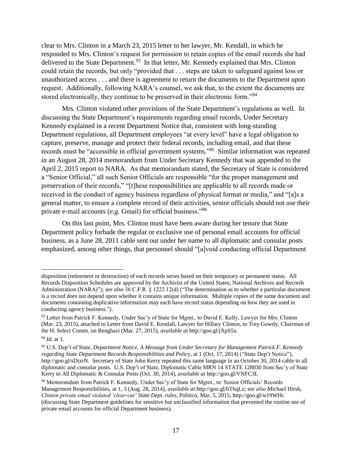clear to Mrs. Clinton in a March 23, 2015 letter to her lawyer, Mr. Kendall, in which he responded to Mrs. Clinton's request for permission to retain copies of the email records she had delivered to the State Department.<sup>93</sup> In that letter, Mr. Kennedy explained that Mrs. Clinton could retain the records, but only "provided that . . . steps are taken to safeguard against loss or unauthorized access . . . and there is agreement to return the documents to the Department upon request. Additionally, following NARA's counsel, we ask that, to the extent the documents are stored electronically, they continue to be preserved in their electronic form.<sup>"94</sup>

<span id="page-18-0"></span>Mrs. Clinton violated other provisions of the State Department's regulations as well. In discussing the State Department's requirements regarding email records, Under Secretary Kennedy explained in a recent Department Notice that, consistent with long-standing Department regulations, all Department employees "at every level" have a legal obligation to capture, preserve, manage and protect their federal records, including email, and that these records must be "accessible in official government systems." 95 Similar information was repeated in an August 28, 2014 memorandum from Under Secretary Kennedy that was appended to the April 2, 2015 report to NARA. As that memorandum stated, the Secretary of State is considered a "Senior Official," all such Senior Officials are responsible "for the proper management and preservation of their records," "[t]hese responsibilities are applicable to all records made or received in the conduct of agency business regardless of physical format or media," and "[a]s a general matter, to ensure a complete record of their activities, senior officials should not use their private e-mail accounts (*e.g.* Gmail) for official business."<sup>96</sup>

<span id="page-18-1"></span>On this last point, Mrs. Clinton must have been aware during her tenure that State Department policy forbade the regular or exclusive use of personal email accounts for official business, as a June 28, 2011 cable sent out under her name to all diplomatic and consular posts emphasized, among other things, that personnel should "[a]void conducting official Department

disposition (retirement or destruction) of each records series based on their temporary or permanent status. All Records Disposition Schedules are approved by the Archivist of the United States, National Archives and Records Administration (NARA)"); *see also* 36 C.F.R. § 1222.12(d) ("The determination as to whether a particular document is a record does not depend upon whether it contains unique information. Multiple copies of the same document and documents containing duplicative information may each have record status depending on how they are used in conducting agency business.").

<sup>93</sup> Letter from Patrick F. Kennedy, Under Sec'y of State for Mgmt., to David E. Kelly, Lawyer for Mrs. Clinton (Mar. 23, 2015), attached to Letter from David E. Kendall, Lawyer for Hillary Clinton, to Trey Gowdy, Chairman of the H. Select Comm. on Benghazi (Mar. 27, 2015), *available at* http://goo.gl/jXpS5x.

<sup>94</sup> *Id.* at 1.

<sup>95</sup> U.S. Dep't of State, *Department Notice, A Message from Under Secretary for Management Patrick F. Kennedy regarding State Department Records Responsibilities and Policy*, at 1 (Oct. 17, 2014) ("State Dep't Notice"), http://goo.gl/sDixrN. Secretary of State John Kerry repeated this same language in an October 30, 2014 cable to all diplomatic and consular posts. U.S. Dep't of State, Diplomatic Cable MRN 14 STATE 128030 from Sec'y of State Kerry to All Diplomatic & Consular Posts (Oct. 30, 2014), *available at* http://goo.gl/VNFC3I.

<sup>96</sup> Memorandum from Patrick F. Kennedy, Under Sec'y of State for Mgmt., re: Senior Officials' Records Management Responsibilities, at 1, 3 (Aug. 28, 2014), *available at* http://goo.gl/bT6qLz; *see also* Michael Hirsh, *Clinton private email violated 'clear-cut' State Dept. rules*, Politico, Mar. 5, 2015, http://goo.gl/w19WHc (discussing State Department guidelines for sensitive but unclassified information that prevented the routine use of private email accounts for official Department business).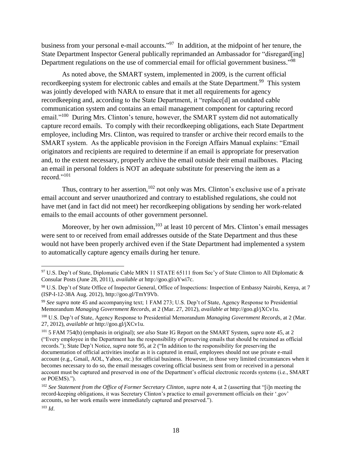business from your personal e-mail accounts."<sup>97</sup> In addition, at the midpoint of her tenure, the State Department Inspector General publically reprimanded an Ambassador for "disregard[ing] Department regulations on the use of commercial email for official government business."<sup>98</sup>

<span id="page-19-1"></span><span id="page-19-0"></span>As noted above, the SMART system, implemented in 2009, is the current official recordkeeping system for electronic cables and emails at the State Department.<sup>99</sup> This system was jointly developed with NARA to ensure that it met all requirements for agency recordkeeping and, according to the State Department, it "replace[d] an outdated cable communication system and contains an email management component for capturing record email."<sup>100</sup> During Mrs. Clinton's tenure, however, the SMART system did not automatically capture record emails. To comply with their recordkeeping obligations, each State Department employee, including Mrs. Clinton, was required to transfer or archive their record emails to the SMART system. As the applicable provision in the Foreign Affairs Manual explains: "Email originators and recipients are required to determine if an email is appropriate for preservation and, to the extent necessary, properly archive the email outside their email mailboxes. Placing an email in personal folders is NOT an adequate substitute for preserving the item as a record."<sup>101</sup>

Thus, contrary to her assertion,<sup>102</sup> not only was Mrs. Clinton's exclusive use of a private email account and server unauthorized and contrary to established regulations, she could not have met (and in fact did not meet) her recordkeeping obligations by sending her work-related emails to the email accounts of other government personnel.

Moreover, by her own admission,  $103$  at least 10 percent of Mrs. Clinton's email messages were sent to or received from email addresses outside of the State Department and thus these would not have been properly archived even if the State Department had implemented a system to automatically capture agency emails during her tenure.

<sup>&</sup>lt;sup>97</sup> U.S. Dep't of State, Diplomatic Cable MRN 11 STATE 65111 from Sec'y of State Clinton to All Diplomatic & Consular Posts (June 28, 2011), *available at* http://goo.gl/aYwi7c.

<sup>98</sup> U.S. Dep't of State Office of Inspector General, Office of Inspections: Inspection of Embassy Nairobi, Kenya, at 7 (ISP-I-12-38A Aug. 2012), http://goo.gl/TmY9Vb.

<sup>99</sup> *See supra* note [45](#page-10-0) and accompanying text; 1 FAM 273; U.S. Dep't of State, Agency Response to Presidential Memorandum *Managing Government Records*, at 2 (Mar. 27, 2012), *available at* http://goo.gl/jXCv1u.

<sup>100</sup> U.S. Dep't of State, Agency Response to Presidential Memorandum *Managing Government Records*, at 2 (Mar. 27, 2012), *available at* http://goo.gl/jXCv1u.

<sup>101</sup> 5 FAM 754(b) (emphasis in original); *see also* State IG Report on the SMART System, *supra* note [45,](#page-10-0) at 2 ("Every employee in the Department has the responsibility of preserving emails that should be retained as official records."); State Dep't Notice, *supra* note [95,](#page-18-0) at 2 ("In addition to the responsibility for preserving the documentation of official activities insofar as it is captured in email, employees should not use private e-mail account (e.g., Gmail, AOL, Yahoo, etc.) for official business. However, in those very limited circumstances when it becomes necessary to do so, the email messages covering official business sent from or received in a personal account must be captured and preserved in one of the Department's official electronic records systems (i.e., SMART or POEMS).").

<sup>102</sup> *See Statement from the Office of Former Secretary Clinton*, *supra* note [4,](#page-3-0) at 2 (asserting that "[i]n meeting the record-keeping obligations, it was Secretary Clinton's practice to email government officials on their '.gov' accounts, so her work emails were immediately captured and preserved.").

<sup>103</sup> *Id*.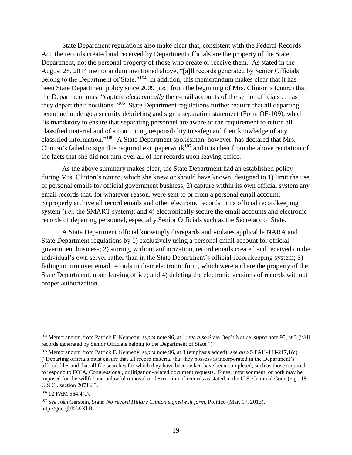State Department regulations also make clear that, consistent with the Federal Records Act, the records created and received by Department officials are the property of the State Department, not the personal property of those who create or receive them. As stated in the August 28, 2014 memorandum mentioned above, "[a]ll records generated by Senior Officials belong to the Department of State."<sup>104</sup> In addition, this memorandum makes clear that it has been State Department policy since 2009 (*i.e.,* from the beginning of Mrs. Clinton's tenure) that the Department must "capture *electronically* the e-mail accounts of the senior officials . . . as they depart their positions."<sup>105</sup> State Department regulations further require that all departing personnel undergo a security debriefing and sign a separation statement (Form OF-109), which "is mandatory to ensure that separating personnel are aware of the requirement to return all classified material and of a continuing responsibility to safeguard their knowledge of any classified information."<sup>106</sup> A State Department spokesman, however, has declared that Mrs. Clinton's failed to sign this required exit paperwork<sup>107</sup> and it is clear from the above recitation of the facts that she did not turn over all of her records upon leaving office.

As the above summary makes clear, the State Department had an established policy during Mrs. Clinton's tenure, which she knew or should have known, designed to 1) limit the use of personal emails for official government business, 2) capture within its own official system any email records that, for whatever reason, were sent to or from a personal email account; 3) properly archive all record emails and other electronic records in its official recordkeeping system (*i.e.*, the SMART system); and 4) electronically secure the email accounts and electronic records of departing personnel, especially Senior Officials such as the Secretary of State.

A State Department official knowingly disregards and violates applicable NARA and State Department regulations by 1) exclusively using a personal email account for official government business; 2) storing, without authorization, record emails created and received on the individual's own server rather than in the State Department's official recordkeeping system; 3) failing to turn over email records in their electronic form, which were and are the property of the State Department, upon leaving office; and 4) deleting the electronic versions of records without proper authorization.

<sup>105</sup> Memorandum from Patrick F. Kennedy, *supra* note [96,](#page-18-1) at 3 (emphasis added); *see also* 5 FAH-4 H-217,1(c) ("Departing officials must ensure that all record material that they possess is incorporated in the Department's official files and that all file searches for which they have been tasked have been completed, such as those required to respond to FOIA, Congressional, or litigation-related document requests. Fines, imprisonment, or both may be imposed for the willful and unlawful removal or destruction of records as stated in the U.S. Criminal Code (e.g., 18 U.S.C., section 2071).").

<sup>104</sup> Memorandum from Patrick F. Kennedy, *supra* note [96,](#page-18-1) at 1; *see also* State Dep't Notice, *supra* not[e 95,](#page-18-0) at 2 ("All records generated by Senior Officials belong to the Department of State.").

<sup>106</sup> 12 FAM 564.4(a).

<sup>107</sup> *See* Josh Gerstein, State: *No record Hillary Clinton signed exit form*, Politico (Mar. 17, 2013), http://goo.gl/KL9XhR.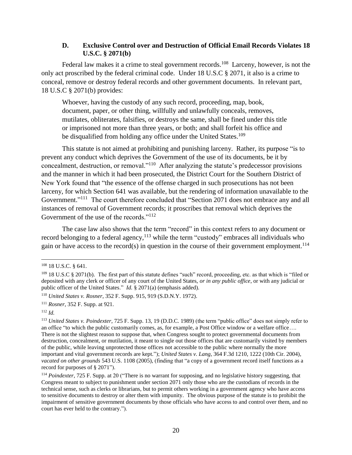#### **D. Exclusive Control over and Destruction of Official Email Records Violates 18 U.S.C. § 2071(b)**

Federal law makes it a crime to steal government records.<sup>108</sup> Larceny, however, is not the only act proscribed by the federal criminal code. Under 18 U.S.C § 2071, it also is a crime to conceal, remove or destroy federal records and other government documents. In relevant part, 18 U.S.C § 2071(b) provides:

Whoever, having the custody of any such record, proceeding, map, book, document, paper, or other thing, willfully and unlawfully conceals, removes, mutilates, obliterates, falsifies, or destroys the same, shall be fined under this title or imprisoned not more than three years, or both; and shall forfeit his office and be disqualified from holding any office under the United States.<sup>109</sup>

This statute is not aimed at prohibiting and punishing larceny. Rather, its purpose "is to prevent any conduct which deprives the Government of the use of its documents, be it by concealment, destruction, or removal."<sup>110</sup> After analyzing the statute's predecessor provisions and the manner in which it had been prosecuted, the District Court for the Southern District of New York found that "the essence of the offense charged in such prosecutions has not been larceny, for which Section 641 was available, but the rendering of information unavailable to the Government."<sup>111</sup> The court therefore concluded that "Section 2071 does not embrace any and all instances of removal of Government records; it proscribes that removal which deprives the Government of the use of the records."<sup>112</sup>

The case law also shows that the term "record" in this context refers to any document or record belonging to a federal agency,<sup>113</sup> while the term "custody" embraces all individuals who gain or have access to the record(s) in question in the course of their government employment.<sup>114</sup>

<sup>108</sup> 18 U.S.C. § 641.

 $109$  18 U.S.C § 2071(b). The first part of this statute defines "such" record, proceeding, etc. as that which is "filed or deposited with any clerk or officer of any court of the United States, *or in any public office*, or with any judicial or public officer of the United States." *Id.* § 2071(a) (emphasis added).

<sup>110</sup> *United States v. Rosner*, 352 F. Supp. 915, 919 (S.D.N.Y. 1972).

<sup>111</sup> *Rosner*, 352 F. Supp. at 921.

<sup>112</sup> *Id.*

<sup>113</sup> *United States v. Poindexter*, 725 F. Supp. 13, 19 (D.D.C. 1989) (the term "public office" does not simply refer to an office "to which the public customarily comes, as, for example, a Post Office window or a welfare office…. There is not the slightest reason to suppose that, when Congress sought to protect governmental documents from destruction, concealment, or mutilation, it meant to single out those offices that are customarily visited by members of the public, while leaving unprotected those offices not accessible to the public where normally the more important and vital government records are kept."); *United States v. Lang*, 364 F.3d 1210, 1222 (10th Cir. 2004), *vacated on other grounds* 543 U.S. 1108 (2005), (finding that "a copy of a government record itself functions as a record for purposes of § 2071").

<sup>114</sup> *Poindexter*, 725 F. Supp. at 20 ("There is no warrant for supposing, and no legislative history suggesting, that Congress meant to subject to punishment under section 2071 only those who are the custodians of records in the technical sense, such as clerks or librarians, but to permit others working in a government agency who have access to sensitive documents to destroy or alter them with impunity. The obvious purpose of the statute is to prohibit the impairment of sensitive government documents by those officials who have access to and control over them, and no court has ever held to the contrary.").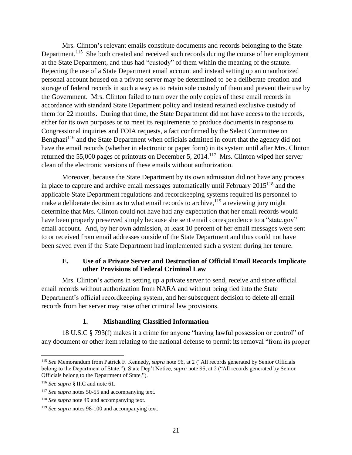Mrs. Clinton's relevant emails constitute documents and records belonging to the State Department.<sup>115</sup> She both created and received such records during the course of her employment at the State Department, and thus had "custody" of them within the meaning of the statute. Rejecting the use of a State Department email account and instead setting up an unauthorized personal account housed on a private server may be determined to be a deliberate creation and storage of federal records in such a way as to retain sole custody of them and prevent their use by the Government. Mrs. Clinton failed to turn over the only copies of these email records in accordance with standard State Department policy and instead retained exclusive custody of them for 22 months. During that time, the State Department did not have access to the records, either for its own purposes or to meet its requirements to produce documents in response to Congressional inquiries and FOIA requests, a fact confirmed by the Select Committee on Benghazi<sup>116</sup> and the State Department when officials admitted in court that the agency did not have the email records (whether in electronic or paper form) in its system until after Mrs. Clinton returned the 55,000 pages of printouts on December 5, 2014.<sup>117</sup> Mrs. Clinton wiped her server clean of the electronic versions of these emails without authorization.

Moreover, because the State Department by its own admission did not have any process in place to capture and archive email messages automatically until February 2015<sup>118</sup> and the applicable State Department regulations and recordkeeping systems required its personnel to make a deliberate decision as to what email records to archive,  $119$  a reviewing jury might determine that Mrs. Clinton could not have had any expectation that her email records would have been properly preserved simply because she sent email correspondence to a "state.gov" email account. And, by her own admission, at least 10 percent of her email messages were sent to or received from email addresses outside of the State Department and thus could not have been saved even if the State Department had implemented such a system during her tenure.

#### **E. Use of a Private Server and Destruction of Official Email Records Implicate other Provisions of Federal Criminal Law**

Mrs. Clinton's actions in setting up a private server to send, receive and store official email records without authorization from NARA and without being tied into the State Department's official recordkeeping system, and her subsequent decision to delete all email records from her server may raise other criminal law provisions.

#### **1. Mishandling Classified Information**

18 U.S.C § 793(f) makes it a crime for anyone "having lawful possession or control" of any document or other item relating to the national defense to permit its removal "from its proper

<sup>115</sup> *See* Memorandum from Patrick F. Kennedy, *supra* note [96,](#page-18-1) at 2 ("All records generated by Senior Officials belong to the Department of State."); State Dep't Notice, *supra* note [95,](#page-18-0) at 2 ("All records generated by Senior Officials belong to the Department of State.").

<sup>116</sup> *See supra* § II.C and note [61.](#page-12-0)

<sup>117</sup> *See supra* note[s 50-](#page-10-1)[55](#page-11-0) and accompanying text.

<sup>118</sup> *See supra* not[e 49](#page-10-2) and accompanying text.

<sup>119</sup> *See supra* note[s 98-](#page-19-0)[100](#page-19-1) and accompanying text.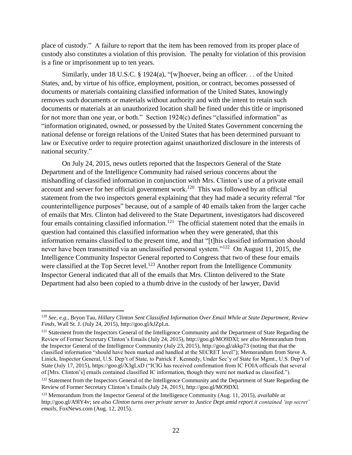place of custody." A failure to report that the item has been removed from its proper place of custody also constitutes a violation of this provision. The penalty for violation of this provision is a fine or imprisonment up to ten years.

Similarly, under 18 U.S.C. § 1924(a), "[w]hoever, being an officer. . . of the United States, and, by virtue of his office, employment, position, or contract, becomes possessed of documents or materials containing classified information of the United States, knowingly removes such documents or materials without authority and with the intent to retain such documents or materials at an unauthorized location shall be fined under this title or imprisoned for not more than one year, or both." Section 1924(c) defines "classified information" as "information originated, owned, or possessed by the United States Government concerning the national defense or foreign relations of the United States that has been determined pursuant to law or Executive order to require protection against unauthorized disclosure in the interests of national security."

On July 24, 2015, news outlets reported that the Inspectors General of the State Department and of the Intelligence Community had raised serious concerns about the mishandling of classified information in conjunction with Mrs. Clinton's use of a private email account and server for her official government work.<sup>120</sup> This was followed by an official statement from the two inspectors general explaining that they had made a security referral "for counterintelligence purposes" because, out of a sample of 40 emails taken from the larger cache of emails that Mrs. Clinton had delivered to the State Department, investigators had discovered four emails containing classified information.<sup>121</sup> The official statement noted that the emails in question had contained this classified information when they were generated, that this information remains classified to the present time, and that "[t]his classified information should never have been transmitted via an unclassified personal system."<sup>122</sup> On August 11, 2015, the Intelligence Community Inspector General reported to Congress that two of these four emails were classified at the Top Secret level.<sup>123</sup> Another report from the Intelligence Community Inspector General indicated that all of the emails that Mrs. Clinton delivered to the State Department had also been copied to a thumb drive in the custody of her lawyer, David

<sup>120</sup> *See, e.g.,* Bryon Tau, *Hillary Clinton Sent Classified Information Over Email While at State Department, Review Finds*, Wall St. J. (July 24, 2015), http://goo.gl/kJZpLn.

<sup>&</sup>lt;sup>121</sup> Statement from the Inspectors General of the Intelligence Community and the Department of State Regarding the Review of Former Secretary Clinton's Emails (July 24, 2015), http://goo.gl/MO9DXl; *see also* Memorandum from the Inspector General of the Intelligence Community (July 23, 2015), http://goo.gl/akkp73 (noting that that the classified information "should have been marked and handled at the SECRET level"); Memorandum from Steve A. Linick, Inspector General, U.S. Dep't of State, to Patrick F. Kennedy, Under Sec'y of State for Mgmt., U.S. Dep't of State (July 17, 2015), https://goo.gl/X3gLxD ("ICIG has received confirmation from IC FOIA officials that several of [Mrs. Clinton's] emails contained classified IC information, though they were not marked as classified.").

<sup>&</sup>lt;sup>122</sup> Statement from the Inspectors General of the Intelligence Community and the Department of State Regarding the Review of Former Secretary Clinton's Emails (July 24, 2015), http://goo.gl/MO9DXl.

<sup>123</sup> Memorandum from the Inspector General of the Intelligence Community (Aug. 11, 2015), *available at* http://goo.gl/A9lY4v; *see also Clinton turns over private server to Justice Dept amid report it contained 'top secret' emails*, FoxNews.com (Aug. 12, 2015).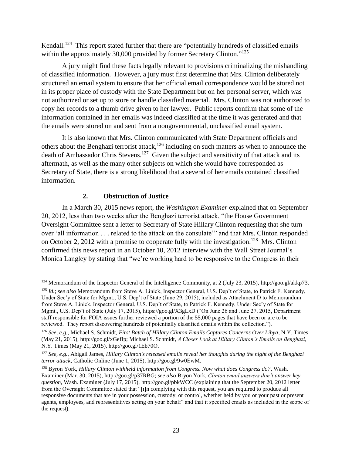Kendall.<sup>124</sup> This report stated further that there are "potentially hundreds of classified emails within the approximately 30,000 provided by former Secretary Clinton."<sup>125</sup>

A jury might find these facts legally relevant to provisions criminalizing the mishandling of classified information. However, a jury must first determine that Mrs. Clinton deliberately structured an email system to ensure that her official email correspondence would be stored not in its proper place of custody with the State Department but on her personal server, which was not authorized or set up to store or handle classified material. Mrs. Clinton was not authorized to copy her records to a thumb drive given to her lawyer. Public reports confirm that some of the information contained in her emails was indeed classified at the time it was generated and that the emails were stored on and sent from a nongovernmental, unclassified email system.

It is also known that Mrs. Clinton communicated with State Department officials and others about the Benghazi terrorist attack,<sup>126</sup> including on such matters as when to announce the death of Ambassador Chris Stevens.<sup>127</sup> Given the subject and sensitivity of that attack and its aftermath, as well as the many other subjects on which she would have corresponded as Secretary of State, there is a strong likelihood that a several of her emails contained classified information.

### **2. Obstruction of Justice**

In a March 30, 2015 news report, the *Washington Examiner* explained that on September 20, 2012, less than two weeks after the Benghazi terrorist attack, "the House Government Oversight Committee sent a letter to Secretary of State Hillary Clinton requesting that she turn over 'all information . . . related to the attack on the consulate'" and that Mrs. Clinton responded on October 2, 2012 with a promise to cooperate fully with the investigation.<sup>128</sup> Mrs. Clinton confirmed this news report in an October 10, 2012 interview with the Wall Street Journal's Monica Langley by stating that "we're working hard to be responsive to the Congress in their

 $\overline{a}$ <sup>124</sup> Memorandum of the Inspector General of the Intelligence Community, at 2 (July 23, 2015), http://goo.gl/akkp73.

<sup>125</sup> *Id.*; *see also* Memorandum from Steve A. Linick, Inspector General, U.S. Dep't of State, to Patrick F. Kennedy, Under Sec'y of State for Mgmt., U.S. Dep't of State (June 29, 2015), included as Attachment D to Memorandum from Steve A. Linick, Inspector General, U.S. Dep't of State, to Patrick F. Kennedy, Under Sec'y of State for Mgmt., U.S. Dep't of State (July 17, 2015), https://goo.gl/X3gLxD ("On June 26 and June 27, 2015, Department staff responsible for FOIA issues further reviewed a portion of the 55,000 pages that have been or are to be reviewed. They report discovering hundreds of potentially classified emails within the collection.").

<sup>126</sup> *See, e.g.,* Michael S. Schmidt, *First Batch of Hillary Clinton Emails Captures Concerns Over Libya*, N.Y. Times (May 21, 2015), http://goo.gl/xGefIp; Michael S. Schmidt, *A Closer Look at Hillary Clinton's Emails on Benghazi*, N.Y. Times (May 21, 2015), http://goo.gl/1Eb70O.

<sup>127</sup> *See, e.g.,* Abigail James, *Hillary Clinton's released emails reveal her thoughts during the night of the Benghazi terror attack*, Catholic Online (June 1, 2015), http://goo.gl/9w0EwM.

<sup>128</sup> Byron York, *Hillary Clinton withheld information from Congress. Now what does Congress do?*, Wash. Examiner (Mar. 30, 2015), http://goo.gl/p37RBG; *see also* Bryon York, *Clinton email answers don't answer key question,* Wash. Examiner (July 17, 2015), http://goo.gl/pbkWCC (explaining that the September 20, 2012 letter from the Oversight Committee stated that "[i]n complying with this request, you are required to produce all responsive documents that are in your possession, custody, or control, whether held by you or your past or present agents, employees, and representatives acting on your behalf" and that it specified emails as included in the scope of the request).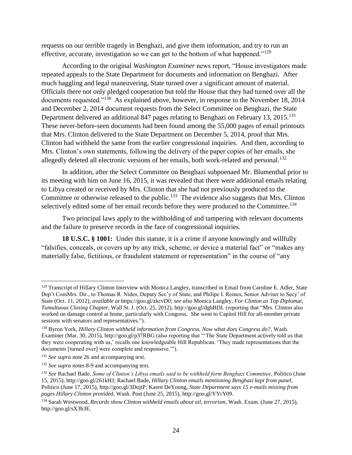requests on our terrible tragedy in Benghazi, and give them information, and try to run an effective, accurate, investigation so we can get to the bottom of what happened."<sup>129</sup>

According to the original *Washington Examiner* news report, "House investigators made repeated appeals to the State Department for documents and information on Benghazi. After much haggling and legal maneuvering, State turned over a significant amount of material. Officials there not only pledged cooperation but told the House that they had turned over all the documents requested."<sup>130</sup> As explained above, however, in response to the November 18, 2014 and December 2, 2014 document requests from the Select Committee on Benghazi, the State Department delivered an additional 847 pages relating to Benghazi on February 13, 2015.<sup>131</sup> These never-before-seen documents had been found among the 55,000 pages of email printouts that Mrs. Clinton delivered to the State Department on December 5, 2014, proof that Mrs. Clinton had withheld the same from the earlier congressional inquiries. And then, according to Mrs. Clinton's own statements, following the delivery of the paper copies of her emails, she allegedly deleted all electronic versions of her emails, both work-related and personal.<sup>132</sup>

In addition, after the Select Committee on Benghazi subpoenaed Mr. Blumenthal prior to its meeting with him on June 16, 2015, it was revealed that there were additional emails relating to Libya created or received by Mrs. Clinton that she had not previously produced to the Committee or otherwise released to the public.<sup>133</sup> The evidence also suggests that Mrs. Clinton selectively edited some of her email records before they were produced to the Committee.<sup>134</sup>

Two principal laws apply to the withholding of and tampering with relevant documents and the failure to preserve records in the face of congressional inquiries.

**18 U.S.C. § 1001:** Under this statute, it is a crime if anyone knowingly and willfully "falsifies, conceals, or covers up by any trick, scheme, or device a material fact" or "makes any materially false, fictitious, or fraudulent statement or representation" in the course of "any

<sup>&</sup>lt;sup>129</sup> Transcript of Hillary Clinton Interview with Monica Langley, transcribed in Email from Caroline E. Adler, State Dep't ComMrs. Dir., to Thomas R. Nides, Deputy Sec'y of State, and Philipe I. Reines, Senior Adviser to Secy' of State (Oct. 11, 2012), *available at* https://goo.gl/zkcvD0; *see also* Monica Langley, *For Clinton as Top Diplomat, Tumultuous Closing Chapter,* Wall St. J. (Oct. 25, 2012), http://goo.gl/dghBDL (reporting that "Mrs. Clinton also worked on damage control at home, particularly with Congress. She went to Capitol Hill for all-member private sessions with senators and representatives.").

<sup>130</sup> Byron York, *Hillary Clinton withheld information from Congress. Now what does Congress do?*, Wash. Examiner (Mar. 30, 2015), http://goo.gl/p37RBG (also reporting that "'The State Department actively told us that they were cooperating with us,' recalls one knowledgeable Hill Republican. 'They made representations that the documents [turned over] were complete and responsive.'").

<sup>131</sup> *See supra* not[e 26](#page-6-1) and accompanying text.

<sup>&</sup>lt;sup>132</sup> *See supra* note[s 8-](#page-3-1)[9](#page-4-1) and accompanying text.

<sup>133</sup> *See* Rachael Bade, *Some of Clinton's Libya emails said to be withheld form Benghazi Committee*, Politico (June 15, 2015), http://goo.gl/261kHJ; Rachael Bade, *Hillary Clinton emails mentioning Benghazi kept from panel*, Politico (June 17, 2015), http://goo.gl/3DojtP; Karen DeYoung, *State Department says 15 e-mails missing from pages Hillary Clinton provided*, Wash. Post (June 25, 2015), http://goo.gl/YYrY09.

<sup>134</sup> Sarah Westwood, *Records show Clinton withheld emails about oil, terrorism*, Wash. Exam. (June 27, 2015), http://goo.gl/sX3b3E.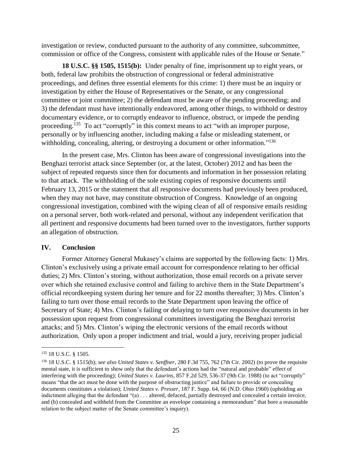investigation or review, conducted pursuant to the authority of any committee, subcommittee, commission or office of the Congress, consistent with applicable rules of the House or Senate."

**18 U.S.C. §§ 1505, 1515(b):** Under penalty of fine, imprisonment up to eight years, or both, federal law prohibits the obstruction of congressional or federal administrative proceedings, and defines three essential elements for this crime: 1) there must be an inquiry or investigation by either the House of Representatives or the Senate, or any congressional committee or joint committee; 2) the defendant must be aware of the pending proceeding; and 3) the defendant must have intentionally endeavored, among other things, to withhold or destroy documentary evidence, or to corruptly endeavor to influence, obstruct, or impede the pending proceeding.<sup>135</sup> To act "corruptly" in this context means to act "with an improper purpose, personally or by influencing another, including making a false or misleading statement, or withholding, concealing, altering, or destroying a document or other information."<sup>136</sup>

In the present case, Mrs. Clinton has been aware of congressional investigations into the Benghazi terrorist attack since September (or, at the latest, October) 2012 and has been the subject of repeated requests since then for documents and information in her possession relating to that attack. The withholding of the sole existing copies of responsive documents until February 13, 2015 or the statement that all responsive documents had previously been produced, when they may not have, may constitute obstruction of Congress. Knowledge of an ongoing congressional investigation, combined with the wiping clean of all of responsive emails residing on a personal server, both work-related and personal, without any independent verification that all pertinent and responsive documents had been turned over to the investigators, further supports an allegation of obstruction.

#### **IV. Conclusion**

Former Attorney General Mukasey's claims are supported by the following facts: 1) Mrs. Clinton's exclusively using a private email account for correspondence relating to her official duties; 2) Mrs. Clinton's storing, without authorization, those email records on a private server over which she retained exclusive control and failing to archive them in the State Department's official recordkeeping system during her tenure and for 22 months thereafter; 3) Mrs. Clinton's failing to turn over those email records to the State Department upon leaving the office of Secretary of State; 4) Mrs. Clinton's failing or delaying to turn over responsive documents in her possession upon request from congressional committees investigating the Benghazi terrorist attacks; and 5) Mrs. Clinton's wiping the electronic versions of the email records without authorization. Only upon a proper indictment and trial, would a jury, receiving proper judicial

<sup>135</sup> 18 U.S.C. § 1505.

<sup>136</sup> 18 U.S.C. § 1515(b); *see also United States v. Senffner*, 280 F.3d 755, 762 (7th Cir. 2002) (to prove the requisite mental state, it is sufficient to show only that the defendant's actions had the "natural and probable" effect of interfering with the proceeding); *United States v. Laurins*, 857 F.2d 529, 536-37 (9th Cir. 1988) (to act "corruptly" means "that the act must be done with the purpose of obstructing justice" and failure to provide or concealing documents constitutes a violation); *United States v. Presser*, 187 F. Supp. 64, 66 (N.D. Ohio 1960) (upholding an indictment alleging that the defendant "(a) . . . altered, defaced, partially destroyed and concealed a certain invoice, and (b) concealed and withheld from the Committee an envelope containing a memorandum" that bore a reasonable relation to the subject matter of the Senate committee's inquiry).